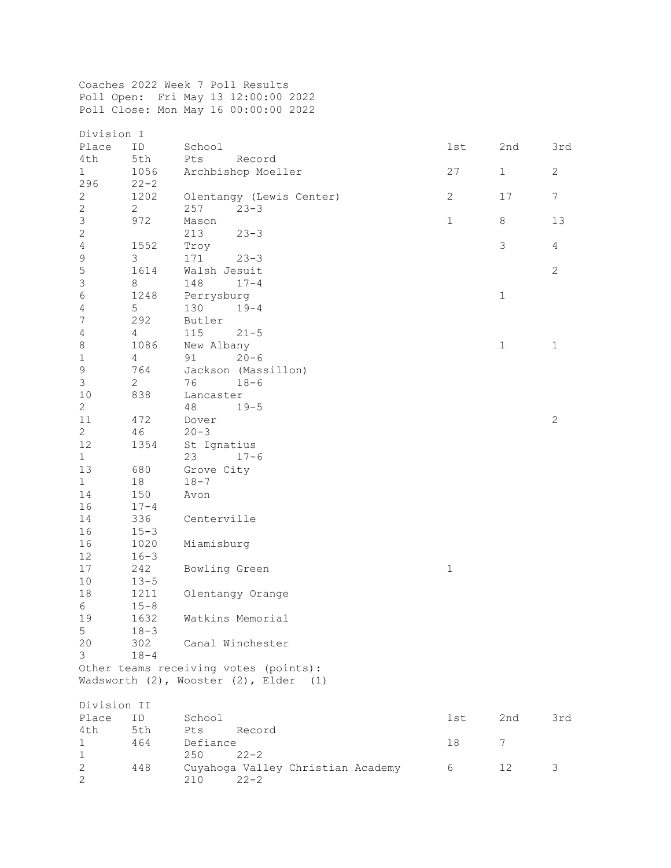Coaches 2022 Week 7 Poll Results Poll Open: Fri May 13 12:00:00 2022 Poll Close: Mon May 16 00:00:00 2022

| Division I                |                |                                       |              |              |                 |
|---------------------------|----------------|---------------------------------------|--------------|--------------|-----------------|
| Place                     | ID             | School                                | 1st          | 2nd          | 3rd             |
| 4th                       | 5th            | Pts<br>Record                         |              |              |                 |
| $\mathbf{1}$              | 1056           | Archbishop Moeller                    | 27           | $\mathbf{1}$ | $\mathbf{2}$    |
| 296                       | $22 - 2$       |                                       |              |              |                 |
| $\mathbf{2}$              | 1202           | Olentangy (Lewis Center)              | $\mathbf{2}$ | 17           | $7\overline{ }$ |
| $\mathbf{2}$              | $\mathbf{2}$   | 257<br>$23 - 3$                       |              |              |                 |
| $\mathsf S$               | 972            | Mason                                 | $\mathbf{1}$ | 8            | 13              |
| $\sqrt{2}$                |                | 213<br>$23 - 3$                       |              |              |                 |
| $\sqrt{4}$                | 1552           | Troy                                  |              | 3            | $\overline{4}$  |
| $\mathsf 9$               | 3              | 171<br>$23 - 3$                       |              |              |                 |
| $\overline{5}$            | 1614           | Walsh Jesuit                          |              |              | $\overline{2}$  |
| $\ensuremath{\mathsf{3}}$ | 8              | $17 - 4$<br>148                       |              |              |                 |
| $\sqrt{6}$                | 1248           | Perrysburg                            |              | $1\,$        |                 |
| $\overline{4}$            | 5              | 130<br>$19 - 4$                       |              |              |                 |
| $\boldsymbol{7}$          | 292            | Butler                                |              |              |                 |
| $\overline{4}$            | 4              | 115<br>$21 - 5$                       |              |              |                 |
| $\,8\,$                   | 1086           |                                       |              | $\mathbf 1$  | $1\,$           |
|                           |                | New Albany                            |              |              |                 |
| $\,1\,$                   | $\overline{4}$ | 91<br>$20 - 6$                        |              |              |                 |
| $\mathsf 9$               | 764            | Jackson (Massillon)                   |              |              |                 |
| $\mathfrak{Z}$            | $\mathbf{2}$   | 76<br>$18 - 6$                        |              |              |                 |
| 10                        | 838            | Lancaster                             |              |              |                 |
| $\mathbf{2}$              |                | 48<br>$19 - 5$                        |              |              |                 |
| $11$                      | 472            | Dover                                 |              |              | $\sqrt{2}$      |
| $\overline{2}$            | 46             | $20 - 3$                              |              |              |                 |
| 12                        | 1354           | St Ignatius                           |              |              |                 |
| $\mathbf{1}$              |                | 23<br>$17 - 6$                        |              |              |                 |
| 13                        | 680            | Grove City                            |              |              |                 |
| $\mathbf{1}$              | 18             | $18 - 7$                              |              |              |                 |
| 14                        | 150            | Avon                                  |              |              |                 |
| 16                        | $17 - 4$       |                                       |              |              |                 |
| 14                        | 336            | Centerville                           |              |              |                 |
| 16                        | $15 - 3$       |                                       |              |              |                 |
| 16                        | 1020           | Miamisburg                            |              |              |                 |
| 12                        | $16 - 3$       |                                       |              |              |                 |
| 17                        | 242            | Bowling Green                         | $\mathbf 1$  |              |                 |
| 10                        | $13 - 5$       |                                       |              |              |                 |
| 18                        | 1211           | Olentangy Orange                      |              |              |                 |
| 6                         | $15 - 8$       |                                       |              |              |                 |
| 19                        | 1632           | Watkins Memorial                      |              |              |                 |
| 5                         | $18 - 3$       |                                       |              |              |                 |
| 20                        | 302            | Canal Winchester                      |              |              |                 |
| 3                         | $18 - 4$       |                                       |              |              |                 |
|                           |                | Other teams receiving votes (points): |              |              |                 |
|                           |                | Wadsworth (2), Wooster (2), Elder (1) |              |              |                 |
|                           |                |                                       |              |              |                 |
| Division II               |                |                                       |              |              |                 |
|                           | ID             |                                       |              |              |                 |
| Place                     |                | School                                | 1st          | 2nd          | 3rd             |
| 4th                       | 5th            | Pts<br>Record                         |              | 7            |                 |
| $\mathbf 1$               | 464            | Defiance                              | 18           |              |                 |
| $\mathbf 1$               |                | 250<br>$22 - 2$                       |              |              |                 |
| $\mathbf{2}$              | 448            | Cuyahoga Valley Christian Academy     | 6            | 12           | 3               |
| $\overline{c}$            |                | 210<br>$22 - 2$                       |              |              |                 |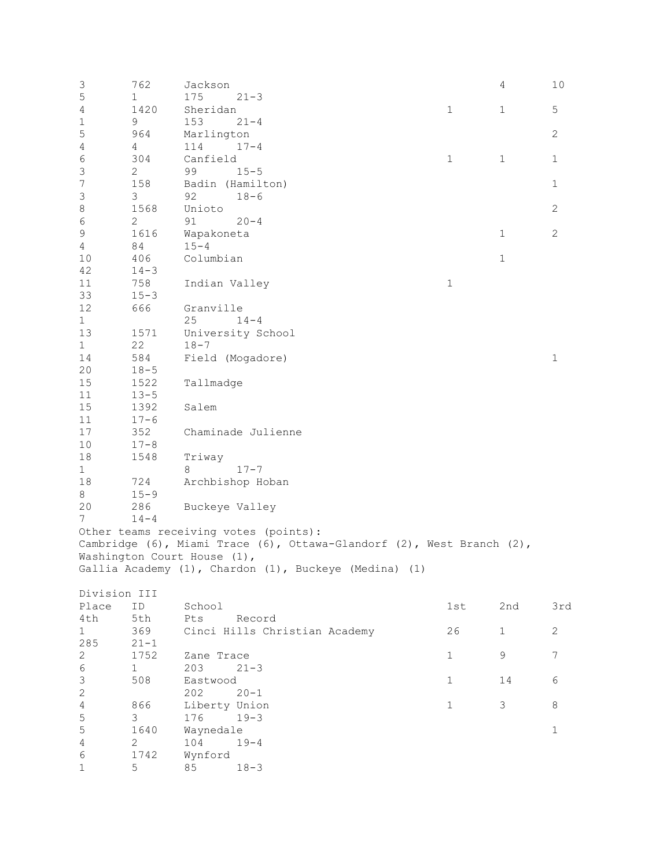| 3                | 762           | Jackson                     |                                                                       |               | 4            | 10           |
|------------------|---------------|-----------------------------|-----------------------------------------------------------------------|---------------|--------------|--------------|
| 5                | 1             | 175                         | $21 - 3$                                                              |               |              |              |
| 4                | 1420          | Sheridan                    |                                                                       | $\mathbbm{1}$ | $\mathbf{1}$ | 5            |
| $\mathbf 1$      | 9             | 153                         | $21 - 4$                                                              |               |              |              |
| 5                | 964           | Marlington                  |                                                                       |               |              | $\mathbf{2}$ |
| $\overline{4}$   | 4             | 114                         | $17 - 4$                                                              |               |              |              |
|                  |               |                             |                                                                       |               |              |              |
| $\epsilon$       | 304           | Canfield                    |                                                                       | $\mathbf 1$   | $\mathbf{1}$ | $\mathbf{1}$ |
| $\mathsf 3$      | $\mathbf{2}$  | 99                          | $15 - 5$                                                              |               |              |              |
| $\boldsymbol{7}$ | 158           |                             | Badin (Hamilton)                                                      |               |              | $\mathbf 1$  |
| $\mathfrak{Z}$   | 3             | 92                          | $18 - 6$                                                              |               |              |              |
| $\,8\,$          | 1568          | Unioto                      |                                                                       |               |              | $\mathbf{2}$ |
| $\sqrt{6}$       | 2             | 91                          | $20 - 4$                                                              |               |              |              |
| $\mathsf 9$      | 1616          | Wapakoneta                  |                                                                       |               | $\mathbf{1}$ | $\mathbf{2}$ |
| $\overline{4}$   | 84            | $15 - 4$                    |                                                                       |               |              |              |
| 10               | 406           | Columbian                   |                                                                       |               | $\mathbf 1$  |              |
| 42               | $14 - 3$      |                             |                                                                       |               |              |              |
|                  |               |                             |                                                                       |               |              |              |
| 11               | 758           | Indian Valley               |                                                                       | $\mathbf 1$   |              |              |
| 33               | $15 - 3$      |                             |                                                                       |               |              |              |
| 12               | 666           | Granville                   |                                                                       |               |              |              |
| $\mathbf{1}$     |               | 25                          | $14 - 4$                                                              |               |              |              |
| 13               | 1571          |                             | University School                                                     |               |              |              |
| $\mathbf{1}$     | 22            | $18 - 7$                    |                                                                       |               |              |              |
| 14               | 584           |                             | Field (Mogadore)                                                      |               |              | $1\,$        |
| 20               | $18 - 5$      |                             |                                                                       |               |              |              |
| $15\,$           | 1522          |                             |                                                                       |               |              |              |
|                  |               | Tallmadge                   |                                                                       |               |              |              |
| 11               | $13 - 5$      |                             |                                                                       |               |              |              |
| $15\,$           | 1392          | Salem                       |                                                                       |               |              |              |
| 11               | $17 - 6$      |                             |                                                                       |               |              |              |
| 17               | 352           |                             | Chaminade Julienne                                                    |               |              |              |
| 10               | $17 - 8$      |                             |                                                                       |               |              |              |
| 18               | 1548          | Triway                      |                                                                       |               |              |              |
| $\mathbf{1}$     |               | 8                           | $17 - 7$                                                              |               |              |              |
| 18               | 724           |                             | Archbishop Hoban                                                      |               |              |              |
| $8\,$            | $15 - 9$      |                             |                                                                       |               |              |              |
|                  |               |                             |                                                                       |               |              |              |
| 20               | 286           | Buckeye Valley              |                                                                       |               |              |              |
| 7                | $14 - 4$      |                             |                                                                       |               |              |              |
|                  |               |                             | Other teams receiving votes (points):                                 |               |              |              |
|                  |               |                             | Cambridge (6), Miami Trace (6), Ottawa-Glandorf (2), West Branch (2), |               |              |              |
|                  |               | Washington Court House (1), |                                                                       |               |              |              |
|                  |               |                             | Gallia Academy (1), Chardon (1), Buckeye (Medina)<br>(1)              |               |              |              |
|                  |               |                             |                                                                       |               |              |              |
| Division III     |               |                             |                                                                       |               |              |              |
| Place            | ID            | School                      |                                                                       | 1st           | 2nd          | 3rd          |
| 4th              | 5th           | Pts                         | Record                                                                |               |              |              |
|                  |               |                             |                                                                       |               |              |              |
| $\mathbf{1}$     | 369           |                             | Cinci Hills Christian Academy                                         | 26            | $\mathbf{1}$ | $\mathbf{2}$ |
| 285              | $21 - 1$      |                             |                                                                       |               |              |              |
| $\sqrt{2}$       | 1752          | Zane Trace                  |                                                                       | $\mathbf 1$   | 9            | 7            |
| $\epsilon$       | $\mathbf{1}$  | 203                         | $21 - 3$                                                              |               |              |              |
| $\mathfrak{Z}$   | 508           | Eastwood                    |                                                                       | $\mathbf 1$   | 14           | 6            |
| $\sqrt{2}$       |               | 202                         | $20 - 1$                                                              |               |              |              |
| $\sqrt{4}$       | 866           | Liberty Union               |                                                                       | $\mathbf 1$   | 3            | 8            |
| 5                | $\mathcal{S}$ | 176                         | $19 - 3$                                                              |               |              |              |
| 5                | 1640          | Waynedale                   |                                                                       |               |              | $\mathbf{1}$ |
|                  |               |                             |                                                                       |               |              |              |
| $\overline{4}$   | 2             | 104                         | $19 - 4$                                                              |               |              |              |
| 6                | 1742          | Wynford                     |                                                                       |               |              |              |
| $\mathbf{1}$     | 5             | 85                          | $18 - 3$                                                              |               |              |              |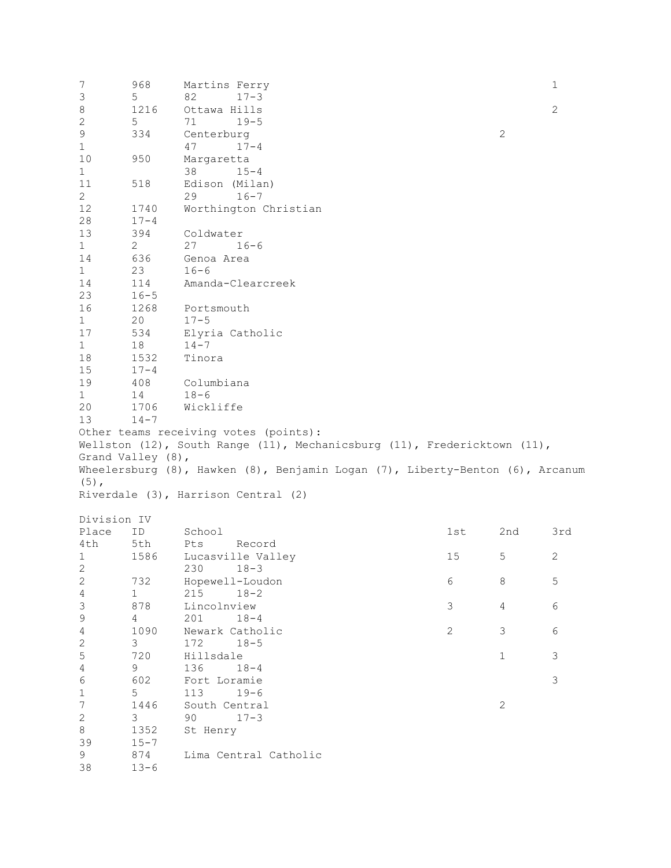7 968 Martins Ferry 1 3 5 82 17-3 8 1216 Ottawa Hills 2<br>2 5 71 19-5 2 5 71 19-5<br>9 334 Centerburg 9 334 Centerburg 2<br>1 47 17-4 1  $47$  17-4<br>10 950 Margaretta 10 950 Margaretta 1 38 15-4<br>11 518 Edison (Mila 11 518 Edison (Milan)<br>2 29 16-7 2 29 16-7<br>12 1740 Worthington 12 1740 Worthington Christian<br>28 17-4 28 17-4<br>13 394 13 394 Coldwater 1 2 27 16-6<br>14 636 Genoa Area 14 636 Genoa Area 1 23 16-6<br>14 114 Amanc 14 114 Amanda-Clearcreek 23 16-5<br>16 1268 16 1268 Portsmouth<br>1 20 17-5 1 20 17-5<br>17 534 Elyri 17 534 Elyria Catholic 1 18 14-7<br>18 1532 Tinor 18 1532 Tinora<br>15 17-4 15 17-4<br>19 408 19 408 Columbiana 1 14 18-6<br>20 1706 Wickl 20 1706 Wickliffe  $14 - 7$ Other teams receiving votes (points): Wellston (12), South Range (11), Mechanicsburg (11), Fredericktown (11), Grand Valley (8), Wheelersburg (8), Hawken (8), Benjamin Logan (7), Liberty-Benton (6), Arcanum  $(5)$ , Riverdale (3), Harrison Central (2) Division IV<br>Place ID Place ID School 1st 2nd 3rd 4th 5th Pts Record<br>1 1586 Lucasville Vall 1 1586 Lucasville Valley 15 15 2<br>2 230 18-3 2 230 18-3<br>2 732 Hopewell-Loug 2 732 Hopewell-Loudon 6 8 5 4 1 215 18-2 3 878 Lincolnview 3 4 6 9 4 201 18-4<br>4 1090 Newark Cathol 4 1090 Newark Catholic 2 3 6 2 3 172 18-5 5 720 Hillsdale 1 3 4 9 136 18-4 6 602 Fort Loramie 3<br>1 5 113 19-6 1 5 113 19-6<br>7 1446 South Centra 7 1446 South Central 2<br>2 3 90 17-3 2 3 90 17-3<br>8 1352 St Henry 8 1352 St Henry<br>39 15-7 39 15-7 9 874 Lima Central Catholic  $13 - 6$